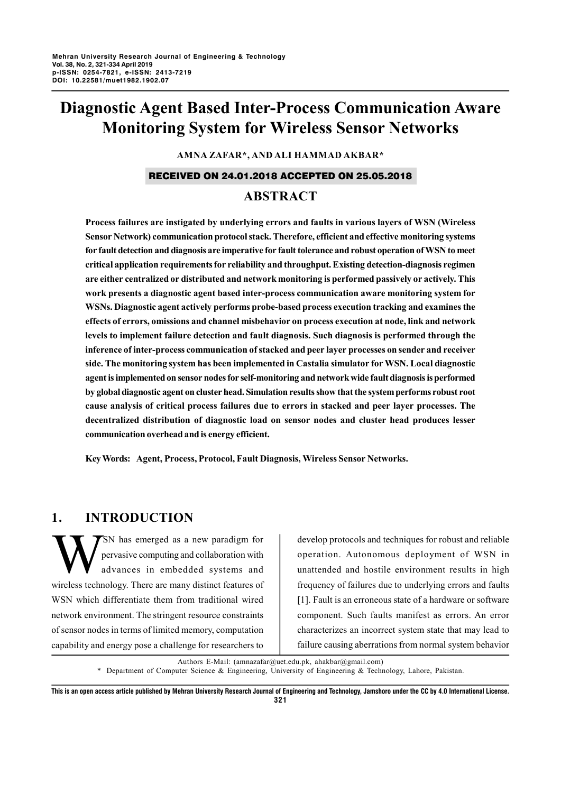# **Diagnostic Agent Based Inter-Process Communication Aware Monitoring System for Wireless Sensor Networks**

**AMNA ZAFAR\*, AND ALI HAMMAD AKBAR\***

## RECEIVED ON 24.01.2018 ACCEPTED ON 25.05.2018

# **ABSTRACT**

**Process failures are instigated by underlying errors and faults in various layers of WSN (Wireless Sensor Network) communication protocol stack. Therefore, efficient and effective monitoring systems for fault detection and diagnosis are imperative for fault tolerance and robust operation of WSN to meet critical application requirements for reliability and throughput. Existing detection-diagnosis regimen are either centralized or distributed and network monitoring is performed passively or actively. This work presents a diagnostic agent based inter-process communication aware monitoring system for WSNs. Diagnostic agent actively performs probe-based process execution tracking and examines the effects of errors, omissions and channel misbehavior on process execution at node, link and network levels to implement failure detection and fault diagnosis. Such diagnosis is performed through the inference of inter-process communication of stacked and peer layer processes on sender and receiver side. The monitoring system has been implemented in Castalia simulator for WSN. Local diagnostic agent is implemented on sensor nodes for self-monitoring and network wide fault diagnosis is performed by global diagnostic agent on cluster head. Simulation results show that the system performs robust root cause analysis of critical process failures due to errors in stacked and peer layer processes. The decentralized distribution of diagnostic load on sensor nodes and cluster head produces lesser communication overhead and is energy efficient.**

**Key Words: Agent, Process, Protocol, Fault Diagnosis, Wireless Sensor Networks.**

# **1. INTRODUCTION**

SN has emerged as a new paradigm for pervasive computing and collaboration with advances in embedded systems and wireless technology. There are many distinct features of WSN which differentiate them from traditional wired network environment. The stringent resource constraints of sensor nodes in terms of limited memory, computation capability and energy pose a challenge for researchers to

develop protocols and techniques for robust and reliable operation. Autonomous deployment of WSN in unattended and hostile environment results in high frequency of failures due to underlying errors and faults [1]. Fault is an erroneous state of a hardware or software component. Such faults manifest as errors. An error characterizes an incorrect system state that may lead to failure causing aberrations from normal system behavior

Authors E-Mail: (amnazafar@uet.edu.pk, ahakbar@gmail.com)

*\** Department of Computer Science & Engineering, University of Engineering & Technology, Lahore, Pakistan.

**This is an open access article published by Mehran University Research Journal of Engineering and Technology, Jamshoro under the CC by 4.0 International License. 321**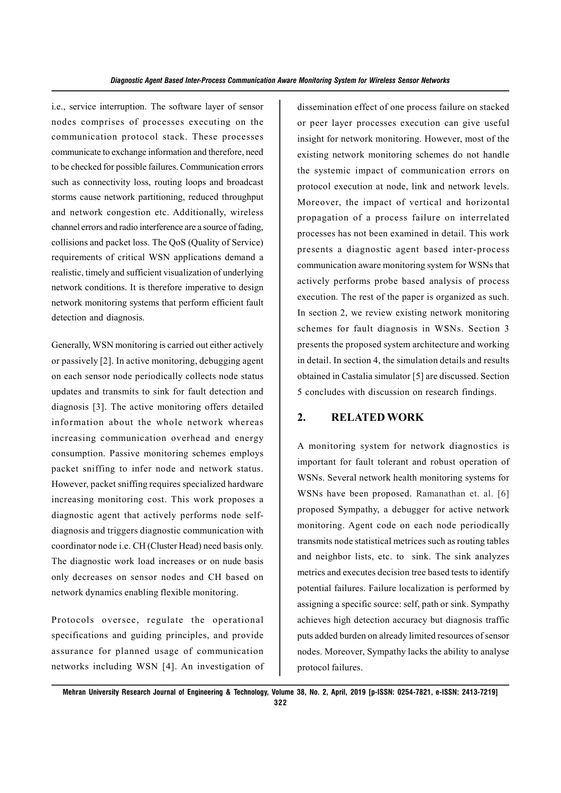i.e., service interruption. The software layer of sensor nodes comprises of processes executing on the communication protocol stack. These processes communicate to exchange information and therefore, need to be checked for possible failures. Communication errors such as connectivity loss, routing loops and broadcast storms cause network partitioning, reduced throughput and network congestion etc. Additionally, wireless channel errors and radio interference are a source of fading, collisions and packet loss. The QoS (Quality of Service) requirements of critical WSN applications demand a realistic, timely and sufficient visualization of underlying network conditions. It is therefore imperative to design network monitoring systems that perform efficient fault detection and diagnosis.

Generally, WSN monitoring is carried out either actively or passively [2]. In active monitoring, debugging agent on each sensor node periodically collects node status updates and transmits to sink for fault detection and diagnosis [3]. The active monitoring offers detailed information about the whole network whereas increasing communication overhead and energy consumption. Passive monitoring schemes employs packet sniffing to infer node and network status. However, packet sniffing requires specialized hardware increasing monitoring cost. This work proposes a diagnostic agent that actively performs node selfdiagnosis and triggers diagnostic communication with coordinator node i.e. CH (Cluster Head) need basis only. The diagnostic work load increases or on nude basis only decreases on sensor nodes and CH based on network dynamics enabling flexible monitoring.

Protocols oversee, regulate the operational specifications and guiding principles, and provide assurance for planned usage of communication networks including WSN [4]. An investigation of dissemination effect of one process failure on stacked or peer layer processes execution can give useful insight for network monitoring. However, most of the existing network monitoring schemes do not handle the systemic impact of communication errors on protocol execution at node, link and network levels. Moreover, the impact of vertical and horizontal propagation of a process failure on interrelated processes has not been examined in detail. This work presents a diagnostic agent based inter-process communication aware monitoring system for WSNs that actively performs probe based analysis of process execution. The rest of the paper is organized as such. In section 2, we review existing network monitoring schemes for fault diagnosis in WSNs. Section 3 presents the proposed system architecture and working in detail. In section 4, the simulation details and results obtained in Castalia simulator [5] are discussed. Section 5 concludes with discussion on research findings.

# **2. RELATED WORK**

A monitoring system for network diagnostics is important for fault tolerant and robust operation of WSNs. Several network health monitoring systems for WSNs have been proposed. Ramanathan et. al. [6] proposed Sympathy, a debugger for active network monitoring. Agent code on each node periodically transmits node statistical metrices such as routing tables and neighbor lists, etc. to sink. The sink analyzes metrics and executes decision tree based tests to identify potential failures. Failure localization is performed by assigning a specific source: self, path or sink. Sympathy achieves high detection accuracy but diagnosis traffic puts added burden on already limited resources of sensor nodes. Moreover, Sympathy lacks the ability to analyse protocol failures.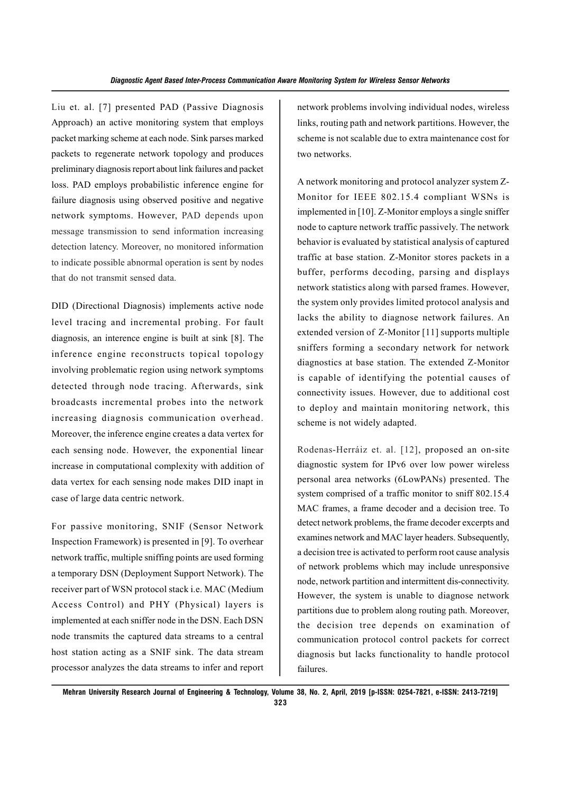Liu et. al. [7] presented PAD (Passive Diagnosis Approach) an active monitoring system that employs packet marking scheme at each node. Sink parses marked packets to regenerate network topology and produces preliminary diagnosis report about link failures and packet loss. PAD employs probabilistic inference engine for failure diagnosis using observed positive and negative network symptoms. However, PAD depends upon message transmission to send information increasing detection latency. Moreover, no monitored information to indicate possible abnormal operation is sent by nodes that do not transmit sensed data.

DID (Directional Diagnosis) implements active node level tracing and incremental probing. For fault diagnosis, an interence engine is built at sink [8]. The inference engine reconstructs topical topology involving problematic region using network symptoms detected through node tracing. Afterwards, sink broadcasts incremental probes into the network increasing diagnosis communication overhead. Moreover, the inference engine creates a data vertex for each sensing node. However, the exponential linear increase in computational complexity with addition of data vertex for each sensing node makes DID inapt in case of large data centric network.

For passive monitoring, SNIF (Sensor Network Inspection Framework) is presented in [9]. To overhear network traffic, multiple sniffing points are used forming a temporary DSN (Deployment Support Network). The receiver part of WSN protocol stack i.e. MAC (Medium Access Control) and PHY (Physical) layers is implemented at each sniffer node in the DSN. Each DSN node transmits the captured data streams to a central host station acting as a SNIF sink. The data stream processor analyzes the data streams to infer and report network problems involving individual nodes, wireless links, routing path and network partitions. However, the scheme is not scalable due to extra maintenance cost for two networks.

A network monitoring and protocol analyzer system Z-Monitor for IEEE 802.15.4 compliant WSNs is implemented in [10]. Z-Monitor employs a single sniffer node to capture network traffic passively. The network behavior is evaluated by statistical analysis of captured traffic at base station. Z-Monitor stores packets in a buffer, performs decoding, parsing and displays network statistics along with parsed frames. However, the system only provides limited protocol analysis and lacks the ability to diagnose network failures. An extended version of Z-Monitor [11] supports multiple sniffers forming a secondary network for network diagnostics at base station. The extended Z-Monitor is capable of identifying the potential causes of connectivity issues. However, due to additional cost to deploy and maintain monitoring network, this scheme is not widely adapted.

Rodenas-Herráiz et. al. [12], proposed an on-site diagnostic system for IPv6 over low power wireless personal area networks (6LowPANs) presented. The system comprised of a traffic monitor to sniff 802.15.4 MAC frames, a frame decoder and a decision tree. To detect network problems, the frame decoder excerpts and examines network and MAC layer headers. Subsequently, a decision tree is activated to perform root cause analysis of network problems which may include unresponsive node, network partition and intermittent dis-connectivity. However, the system is unable to diagnose network partitions due to problem along routing path. Moreover, the decision tree depends on examination of communication protocol control packets for correct diagnosis but lacks functionality to handle protocol failures.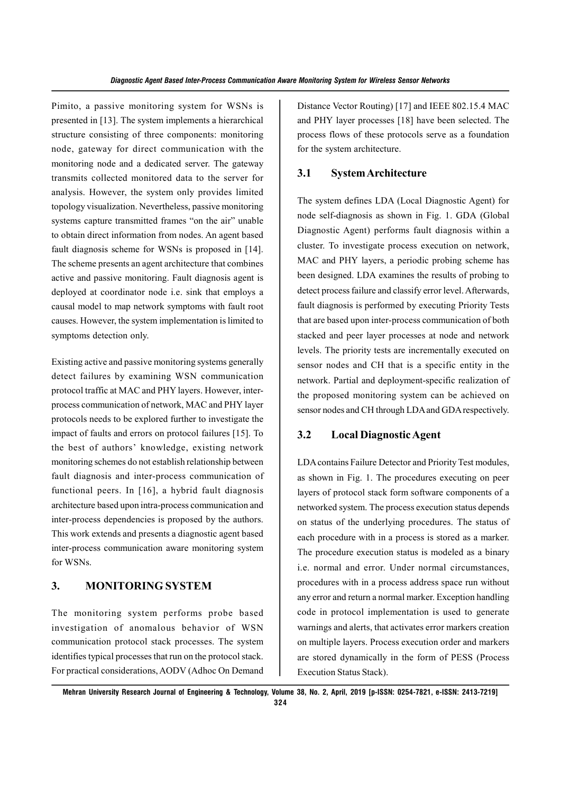Pimito, a passive monitoring system for WSNs is presented in [13]. The system implements a hierarchical structure consisting of three components: monitoring node, gateway for direct communication with the monitoring node and a dedicated server. The gateway transmits collected monitored data to the server for analysis. However, the system only provides limited topology visualization. Nevertheless, passive monitoring systems capture transmitted frames "on the air" unable to obtain direct information from nodes. An agent based fault diagnosis scheme for WSNs is proposed in [14]. The scheme presents an agent architecture that combines active and passive monitoring. Fault diagnosis agent is deployed at coordinator node i.e. sink that employs a causal model to map network symptoms with fault root causes. However, the system implementation is limited to symptoms detection only.

Existing active and passive monitoring systems generally detect failures by examining WSN communication protocol traffic at MAC and PHY layers. However, interprocess communication of network, MAC and PHY layer protocols needs to be explored further to investigate the impact of faults and errors on protocol failures [15]. To the best of authors' knowledge, existing network monitoring schemes do not establish relationship between fault diagnosis and inter-process communication of functional peers. In [16], a hybrid fault diagnosis architecture based upon intra-process communication and inter-process dependencies is proposed by the authors. This work extends and presents a diagnostic agent based inter-process communication aware monitoring system for WSNs.

# **3. MONITORING SYSTEM**

The monitoring system performs probe based investigation of anomalous behavior of WSN communication protocol stack processes. The system identifies typical processes that run on the protocol stack. For practical considerations, AODV (Adhoc On Demand

Distance Vector Routing) [17] and IEEE 802.15.4 MAC and PHY layer processes [18] have been selected. The process flows of these protocols serve as a foundation for the system architecture.

## **3.1 System Architecture**

The system defines LDA (Local Diagnostic Agent) for node self-diagnosis as shown in Fig. 1. GDA (Global Diagnostic Agent) performs fault diagnosis within a cluster. To investigate process execution on network, MAC and PHY layers, a periodic probing scheme has been designed. LDA examines the results of probing to detect process failure and classify error level. Afterwards, fault diagnosis is performed by executing Priority Tests that are based upon inter-process communication of both stacked and peer layer processes at node and network levels. The priority tests are incrementally executed on sensor nodes and CH that is a specific entity in the network. Partial and deployment-specific realization of the proposed monitoring system can be achieved on sensor nodes and CH through LDA and GDA respectively.

# **3.2 Local Diagnostic Agent**

LDA contains Failure Detector and Priority Test modules, as shown in Fig. 1. The procedures executing on peer layers of protocol stack form software components of a networked system. The process execution status depends on status of the underlying procedures. The status of each procedure with in a process is stored as a marker. The procedure execution status is modeled as a binary i.e. normal and error. Under normal circumstances, procedures with in a process address space run without any error and return a normal marker. Exception handling code in protocol implementation is used to generate warnings and alerts, that activates error markers creation on multiple layers. Process execution order and markers are stored dynamically in the form of PESS (Process Execution Status Stack).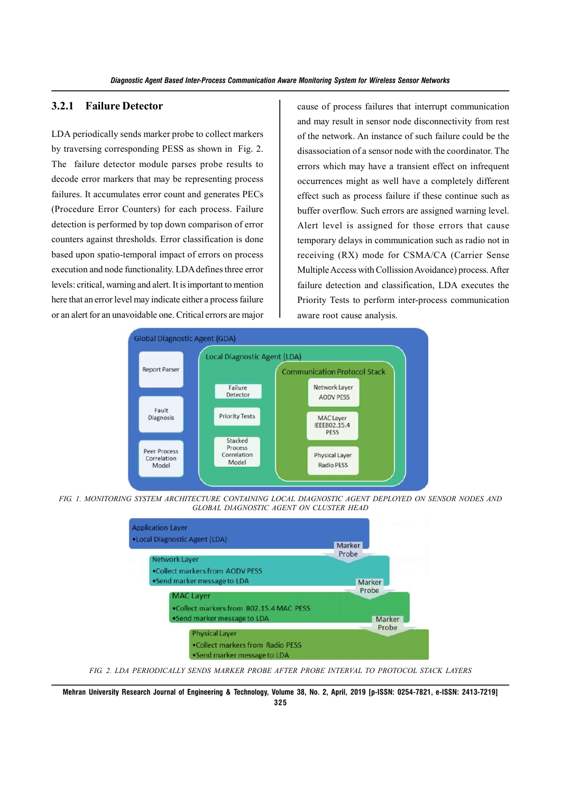## **3.2.1 Failure Detector**

LDA periodically sends marker probe to collect markers by traversing corresponding PESS as shown in Fig. 2. The failure detector module parses probe results to decode error markers that may be representing process failures. It accumulates error count and generates PECs (Procedure Error Counters) for each process. Failure detection is performed by top down comparison of error counters against thresholds. Error classification is done based upon spatio-temporal impact of errors on process execution and node functionality. LDA defines three error levels: critical, warning and alert. It is important to mention here that an error level may indicate either a process failure or an alert for an unavoidable one. Critical errors are major

cause of process failures that interrupt communication and may result in sensor node disconnectivity from rest of the network. An instance of such failure could be the disassociation of a sensor node with the coordinator. The errors which may have a transient effect on infrequent occurrences might as well have a completely different effect such as process failure if these continue such as buffer overflow. Such errors are assigned warning level. Alert level is assigned for those errors that cause temporary delays in communication such as radio not in receiving (RX) mode for CSMA/CA (Carrier Sense Multiple Access with Collission Avoidance) process. After failure detection and classification, LDA executes the Priority Tests to perform inter-process communication aware root cause analysis.



*FIG. 1. MONITORING SYSTEM ARCHITECTURE CONTAINING LOCAL DIAGNOSTIC AGENT DEPLOYED ON SENSOR NODES AND GLOBAL DIAGNOSTIC AGENT ON CLUSTER HEAD*



*FIG. 2. LDA PERIODICALLY SENDS MARKER PROBE AFTER PROBE INTERVAL TO PROTOCOL STACK LAYERS*

**Mehran University Research Journal of Engineering & Technology, Volume 38, No. 2, April, 2019 [p-ISSN: 0254-7821, e-ISSN: 2413-7219] 325**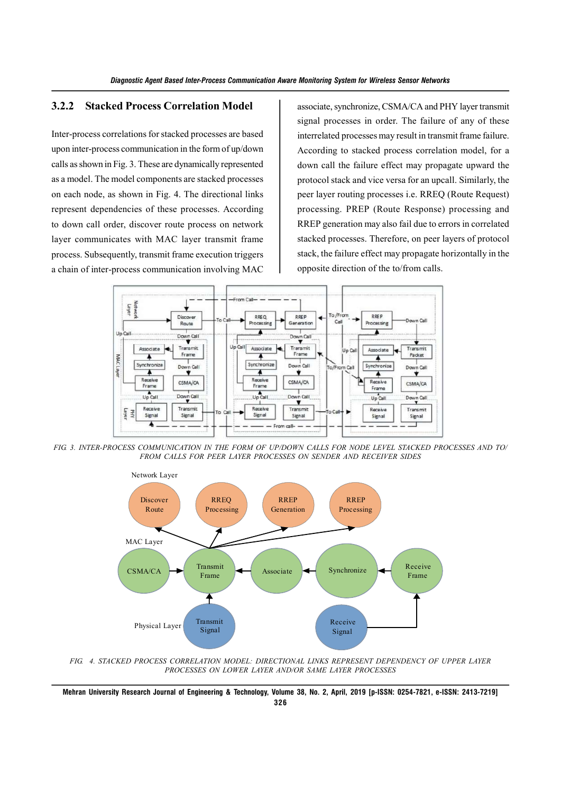# **3.2.2 Stacked Process Correlation Model**

Inter-process correlations for stacked processes are based upon inter-process communication in the form of up/down calls as shown in Fig. 3. These are dynamically represented as a model. The model components are stacked processes on each node, as shown in Fig. 4. The directional links represent dependencies of these processes. According to down call order, discover route process on network layer communicates with MAC layer transmit frame process. Subsequently, transmit frame execution triggers a chain of inter-process communication involving MAC

associate, synchronize, CSMA/CA and PHY layer transmit signal processes in order. The failure of any of these interrelated processes may result in transmit frame failure. According to stacked process correlation model, for a down call the failure effect may propagate upward the protocol stack and vice versa for an upcall. Similarly, the peer layer routing processes i.e. RREQ (Route Request) processing. PREP (Route Response) processing and RREP generation may also fail due to errors in correlated stacked processes. Therefore, on peer layers of protocol stack, the failure effect may propagate horizontally in the opposite direction of the to/from calls.



*FIG. 3. INTER-PROCESS COMMUNICATION IN THE FORM OF UP/DOWN CALLS FOR NODE LEVEL STACKED PROCESSES AND TO/ FROM CALLS FOR PEER LAYER PROCESSES ON SENDER AND RECEIVER SIDES*



*FIG. 4. STACKED PROCESS CORRELATION MODEL: DIRECTIONAL LINKS REPRESENT DEPENDENCY OF UPPER LAYER PROCESSES ON LOWER LAYER AND/OR SAME LAYER PROCESSES*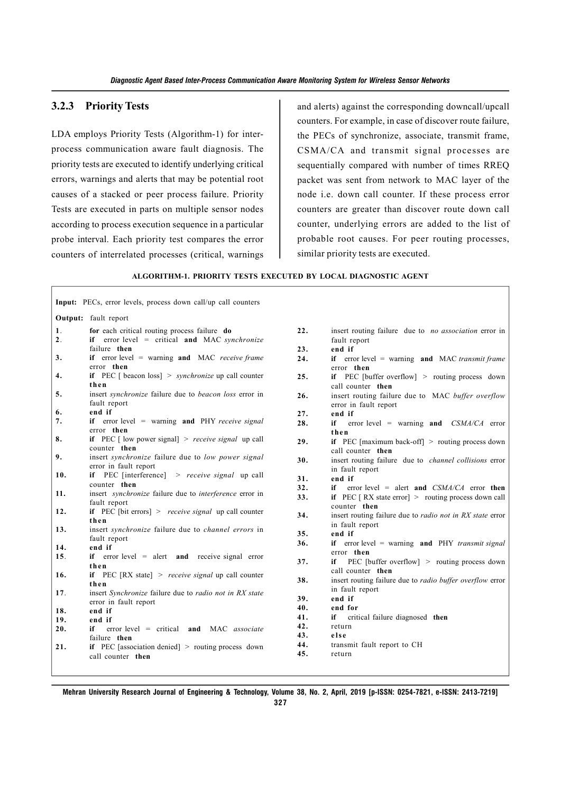## **3.2.3 Priority Tests**

LDA employs Priority Tests (Algorithm-1) for interprocess communication aware fault diagnosis. The priority tests are executed to identify underlying critical errors, warnings and alerts that may be potential root causes of a stacked or peer process failure. Priority Tests are executed in parts on multiple sensor nodes according to process execution sequence in a particular probe interval. Each priority test compares the error counters of interrelated processes (critical, warnings and alerts) against the corresponding downcall/upcall counters. For example, in case of discover route failure, the PECs of synchronize, associate, transmit frame, CSMA/CA and transmit signal processes are sequentially compared with number of times RREQ packet was sent from network to MAC layer of the node i.e. down call counter. If these process error counters are greater than discover route down call counter, underlying errors are added to the list of probable root causes. For peer routing processes, similar priority tests are executed.

#### **ALGORITHM-1. PRIORITY TESTS EXECUTED BY LOCAL DIAGNOSTIC AGENT**

|     | <b>Output:</b> fault report                                                           |     |                                                                                     |
|-----|---------------------------------------------------------------------------------------|-----|-------------------------------------------------------------------------------------|
| 1.  | for each critical routing process failure do                                          | 22. | insert routing failure due to <i>no association</i> error in                        |
| 2.  | if error level $=$ critical and MAC synchronize                                       |     | fault report                                                                        |
|     | failure then                                                                          | 23. | end if                                                                              |
| 3.  | if error level $=$ warning and MAC receive frame                                      | 24. | if error level = warning and MAC transmit frame                                     |
|     | error then                                                                            |     | error then                                                                          |
| 4.  | if PEC [ beacon loss] $>$ synchronize up call counter<br>then                         | 25. | if PEC [buffer overflow] > routing process down<br>call counter then                |
| 5.  | insert <i>synchronize</i> failure due to <i>beacon loss</i> error in<br>fault report  | 26. | insert routing failure due to MAC buffer overflow<br>error in fault report          |
| 6.  | end if                                                                                | 27. | end if                                                                              |
| 7.  | if error level $=$ warning and PHY receive signal                                     | 28. | if<br>error level = warning and $CSMA/CA$ error                                     |
|     | error then                                                                            |     | then                                                                                |
| 8.  | if PEC [ low power signal] $>$ receive signal up call                                 | 29. | if PEC [maximum back-off] $>$ routing process down                                  |
|     | counter then                                                                          |     | call counter then                                                                   |
| 9.  | insert synchronize failure due to low power signal                                    | 30. | insert routing failure due to <i>channel collisions</i> error                       |
|     | error in fault report                                                                 |     | in fault report                                                                     |
| 10. | if PEC [interference] $\rightarrow$ receive signal up call                            | 31. | end if                                                                              |
|     | counter then                                                                          | 32. | error level = alert and $CSMA/CA$ error then<br>if                                  |
| 11. | insert <i>synchronize</i> failure due to <i>interference</i> error in<br>fault report | 33. | if PEC $[RX]$ state error $] >$ routing process down call                           |
| 12. | if PEC [bit errors] > receive signal up call counter                                  |     | counter then                                                                        |
|     | then                                                                                  | 34. | insert routing failure due to <i>radio not in RX state</i> error                    |
| 13. | insert synchronize failure due to channel errors in                                   |     | in fault report                                                                     |
|     | fault report                                                                          | 35. | end if                                                                              |
| 14. | end if                                                                                | 36. | if error level = warning and $PHY$ transmit signal                                  |
| 15. | if error level $=$ alert and receive signal error                                     |     | error then                                                                          |
|     | then                                                                                  | 37. | PEC [buffer overflow] $>$ routing process down<br>if                                |
| 16. | if PEC $[RX state] > receive signal up call counter$                                  | 38. | call counter then                                                                   |
|     | then                                                                                  |     | insert routing failure due to <i>radio buffer overflow</i> error<br>in fault report |
| 17. | insert Synchronize failure due to radio not in RX state                               | 39. | end if                                                                              |
|     | error in fault report                                                                 | 40. | end for                                                                             |
| 18. | end if                                                                                | 41. | critical failure diagnosed then<br>if                                               |
| 19. | end if                                                                                | 42. | return                                                                              |
| 20. | if<br>$error level = critical and MAC associate$                                      | 43. | else                                                                                |
| 21. | failure then<br>if PEC [association denied] $>$ routing process down                  | 44. | transmit fault report to CH                                                         |
|     |                                                                                       | 45. | return                                                                              |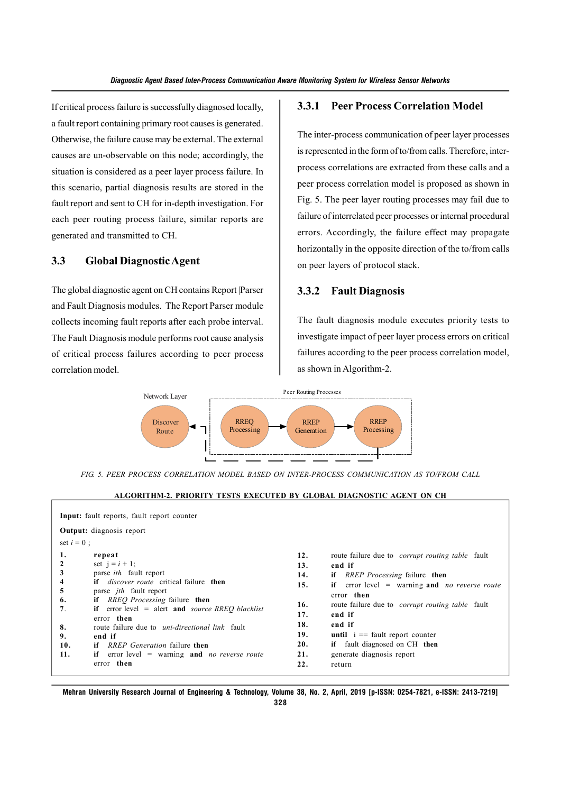If critical process failure is successfully diagnosed locally, a fault report containing primary root causes is generated. Otherwise, the failure cause may be external. The external causes are un-observable on this node; accordingly, the situation is considered as a peer layer process failure. In this scenario, partial diagnosis results are stored in the fault report and sent to CH for in-depth investigation. For each peer routing process failure, similar reports are generated and transmitted to CH.

## **3.3 Global Diagnostic Agent**

The global diagnostic agent on CH contains Report |Parser and Fault Diagnosis modules. The Report Parser module collects incoming fault reports after each probe interval. The Fault Diagnosis module performs root cause analysis of critical process failures according to peer process correlation model.

### **3.3.1 Peer Process Correlation Model**

The inter-process communication of peer layer processes is represented in the form of to/from calls. Therefore, interprocess correlations are extracted from these calls and a peer process correlation model is proposed as shown in Fig. 5. The peer layer routing processes may fail due to failure of interrelated peer processes or internal procedural errors. Accordingly, the failure effect may propagate horizontally in the opposite direction of the to/from calls on peer layers of protocol stack.

#### **3.3.2 Fault Diagnosis**

The fault diagnosis module executes priority tests to investigate impact of peer layer process errors on critical failures according to the peer process correlation model, as shown in Algorithm-2.



*FIG. 5. PEER PROCESS CORRELATION MODEL BASED ON INTER-PROCESS COMMUNICATION AS TO/FROM CALL*

#### **ALGORITHM-2. PRIORITY TESTS EXECUTED BY GLOBAL DIAGNOSTIC AGENT ON CH**

| Input: fault reports, fault report counter<br><b>Output:</b> diagnosis report |                                                                                                                                                                                                                                                                                                                                                                                                                                                                             |                                                                           |                                                                                                                                                                                                                                                                                                                                                                                        |  |  |  |
|-------------------------------------------------------------------------------|-----------------------------------------------------------------------------------------------------------------------------------------------------------------------------------------------------------------------------------------------------------------------------------------------------------------------------------------------------------------------------------------------------------------------------------------------------------------------------|---------------------------------------------------------------------------|----------------------------------------------------------------------------------------------------------------------------------------------------------------------------------------------------------------------------------------------------------------------------------------------------------------------------------------------------------------------------------------|--|--|--|
| set $i = 0$ ;<br>1.<br>3<br>4<br>5<br>6.<br>7.<br>8.<br>9.<br>10.<br>11.      | repeat<br>set $i = i + 1$ ;<br>parse <i>ith</i> fault report<br><b>if</b> <i>discover route</i> critical failure <b>then</b><br>parse <i>jth</i> fault report<br><b>if</b> RREO Processing failure then<br>if error level $=$ alert and <i>source RREQ blacklist</i><br>error then<br>route failure due to <i>uni-directional link</i> fault<br>end if<br><i>RREP Generation</i> failure then<br>if<br>if error level $=$ warning and <i>no reverse route</i><br>error then | 12.<br>13.<br>14.<br>15.<br>16.<br>17.<br>18.<br>19.<br>20.<br>21.<br>22. | route failure due to <i>corrupt routing table</i> fault<br>end if<br><b>if</b> RREP Processing failure then<br>if error level $=$ warning and <i>no reverse route</i><br>error then<br>route failure due to <i>corrupt routing table</i> fault<br>end if<br>end if<br><b>until</b> $i ==$ fault report counter<br>if fault diagnosed on CH then<br>generate diagnosis report<br>return |  |  |  |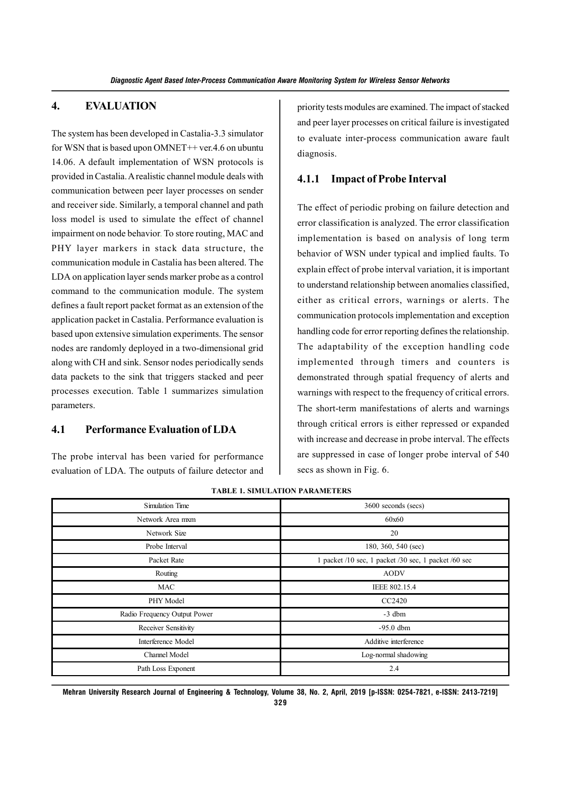## **4. EVALUATION**

The system has been developed in Castalia-3.3 simulator for WSN that is based upon OMNET++ ver.4.6 on ubuntu 14.06. A default implementation of WSN protocols is provided in Castalia. A realistic channel module deals with communication between peer layer processes on sender and receiver side. Similarly, a temporal channel and path loss model is used to simulate the effect of channel impairment on node behavior. To store routing, MAC and PHY layer markers in stack data structure, the communication module in Castalia has been altered. The LDA on application layer sends marker probe as a control command to the communication module. The system defines a fault report packet format as an extension of the application packet in Castalia. Performance evaluation is based upon extensive simulation experiments. The sensor nodes are randomly deployed in a two-dimensional grid along with CH and sink. Sensor nodes periodically sends data packets to the sink that triggers stacked and peer processes execution. Table 1 summarizes simulation parameters.

# **4.1 Performance Evaluation of LDA**

The probe interval has been varied for performance evaluation of LDA. The outputs of failure detector and priority tests modules are examined. The impact of stacked and peer layer processes on critical failure is investigated to evaluate inter-process communication aware fault diagnosis.

## **4.1.1 Impact of Probe Interval**

The effect of periodic probing on failure detection and error classification is analyzed. The error classification implementation is based on analysis of long term behavior of WSN under typical and implied faults. To explain effect of probe interval variation, it is important to understand relationship between anomalies classified, either as critical errors, warnings or alerts. The communication protocols implementation and exception handling code for error reporting defines the relationship. The adaptability of the exception handling code implemented through timers and counters is demonstrated through spatial frequency of alerts and warnings with respect to the frequency of critical errors. The short-term manifestations of alerts and warnings through critical errors is either repressed or expanded with increase and decrease in probe interval. The effects are suppressed in case of longer probe interval of 540 secs as shown in Fig. 6.

| <b>Simulation Time</b>       | 3600 seconds (secs)                                  |
|------------------------------|------------------------------------------------------|
| Network Area mxm             | 60x60                                                |
| Network Size                 | 20                                                   |
| Probe Interval               | 180, 360, 540 (sec)                                  |
| Packet Rate                  | 1 packet /10 sec, 1 packet /30 sec, 1 packet /60 sec |
| Routing                      | <b>AODV</b>                                          |
| MAC                          | IEEE 802.15.4                                        |
| PHY Model                    | CC2420                                               |
| Radio Frequency Output Power | $-3$ dbm                                             |
| Receiver Sensitivity         | $-95.0$ dbm                                          |
| Interference Model           | Additive interference                                |
| Channel Model                | Log-normal shadowing                                 |
| Path Loss Exponent           | 2.4                                                  |

**TABLE 1. SIMULATION PARAMETERS**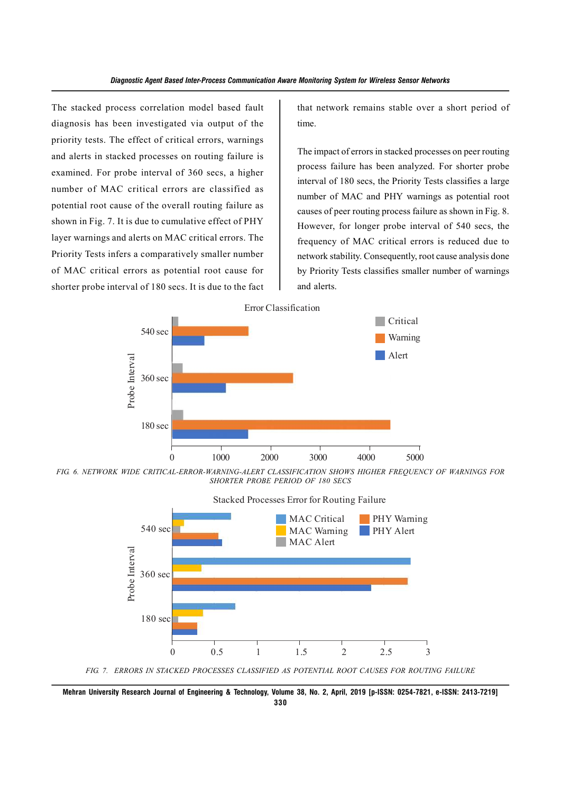The stacked process correlation model based fault diagnosis has been investigated via output of the priority tests. The effect of critical errors, warnings and alerts in stacked processes on routing failure is examined. For probe interval of 360 secs, a higher number of MAC critical errors are classified as potential root cause of the overall routing failure as shown in Fig. 7. It is due to cumulative effect of PHY layer warnings and alerts on MAC critical errors. The Priority Tests infers a comparatively smaller number of MAC critical errors as potential root cause for shorter probe interval of 180 secs. It is due to the fact that network remains stable over a short period of time.

The impact of errors in stacked processes on peer routing process failure has been analyzed. For shorter probe interval of 180 secs, the Priority Tests classifies a large number of MAC and PHY warnings as potential root causes of peer routing process failure as shown in Fig. 8. However, for longer probe interval of 540 secs, the frequency of MAC critical errors is reduced due to network stability. Consequently, root cause analysis done by Priority Tests classifies smaller number of warnings and alerts.



*FIG. 6. NETWORK WIDE CRITICAL-ERROR-WARNING-ALERT CLASSIFICATION SHOWS HIGHER FREQUENCY OF WARNINGS FOR SHORTER PROBE PERIOD OF 180 SECS*



**Mehran University Research Journal of Engineering & Technology, Volume 38, No. 2, April, 2019 [p-ISSN: 0254-7821, e-ISSN: 2413-7219]**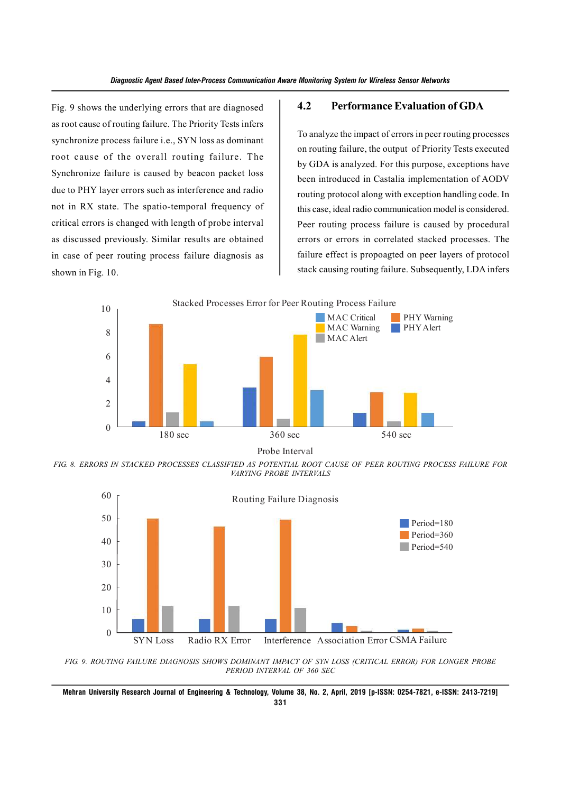Fig. 9 shows the underlying errors that are diagnosed as root cause of routing failure. The Priority Tests infers synchronize process failure i.e., SYN loss as dominant root cause of the overall routing failure. The Synchronize failure is caused by beacon packet loss due to PHY layer errors such as interference and radio not in RX state. The spatio-temporal frequency of critical errors is changed with length of probe interval as discussed previously. Similar results are obtained in case of peer routing process failure diagnosis as shown in Fig. 10.

#### **4.2 Performance Evaluation of GDA**

To analyze the impact of errors in peer routing processes on routing failure, the output of Priority Tests executed by GDA is analyzed. For this purpose, exceptions have been introduced in Castalia implementation of AODV routing protocol along with exception handling code. In this case, ideal radio communication model is considered. Peer routing process failure is caused by procedural errors or errors in correlated stacked processes. The failure effect is propoagted on peer layers of protocol stack causing routing failure. Subsequently, LDA infers



Probe Interval

*FIG. 8. ERRORS IN STACKED PROCESSES CLASSIFIED AS POTENTIAL ROOT CAUSE OF PEER ROUTING PROCESS FAILURE FOR VARYING PROBE INTERVALS*



*FIG. 9. ROUTING FAILURE DIAGNOSIS SHOWS DOMINANT IMPACT OF SYN LOSS (CRITICAL ERROR) FOR LONGER PROBE PERIOD INTERVAL OF 360 SEC*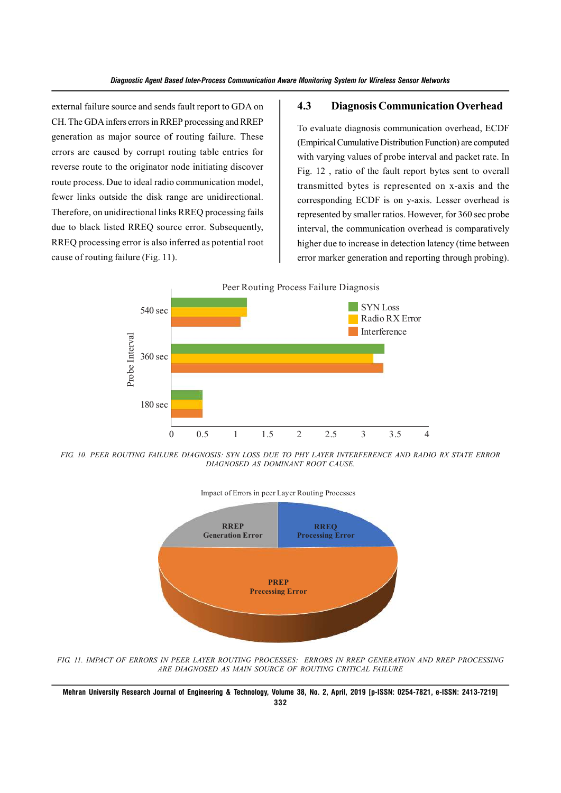external failure source and sends fault report to GDA on CH. The GDA infers errors in RREP processing and RREP generation as major source of routing failure. These errors are caused by corrupt routing table entries for reverse route to the originator node initiating discover route process. Due to ideal radio communication model, fewer links outside the disk range are unidirectional. Therefore, on unidirectional links RREQ processing fails due to black listed RREQ source error. Subsequently, RREQ processing error is also inferred as potential root cause of routing failure (Fig. 11).

## **4.3 Diagnosis Communication Overhead**

To evaluate diagnosis communication overhead, ECDF (Empirical Cumulative Distribution Function) are computed with varying values of probe interval and packet rate. In Fig. 12 , ratio of the fault report bytes sent to overall transmitted bytes is represented on x-axis and the corresponding ECDF is on y-axis. Lesser overhead is represented by smaller ratios. However, for 360 sec probe interval, the communication overhead is comparatively higher due to increase in detection latency (time between error marker generation and reporting through probing).



*FIG. 10. PEER ROUTING FAILURE DIAGNOSIS: SYN LOSS DUE TO PHY LAYER INTERFERENCE AND RADIO RX STATE ERROR DIAGNOSED AS DOMINANT ROOT CAUSE.*



*FIG. 11. IMPACT OF ERRORS IN PEER LAYER ROUTING PROCESSES: ERRORS IN RREP GENERATION AND RREP PROCESSING ARE DIAGNOSED AS MAIN SOURCE OF ROUTING CRITICAL FAILURE*

**Mehran University Research Journal of Engineering & Technology, Volume 38, No. 2, April, 2019 [p-ISSN: 0254-7821, e-ISSN: 2413-7219] 332**

#### Impact of Errors in peer Layer Routing Processes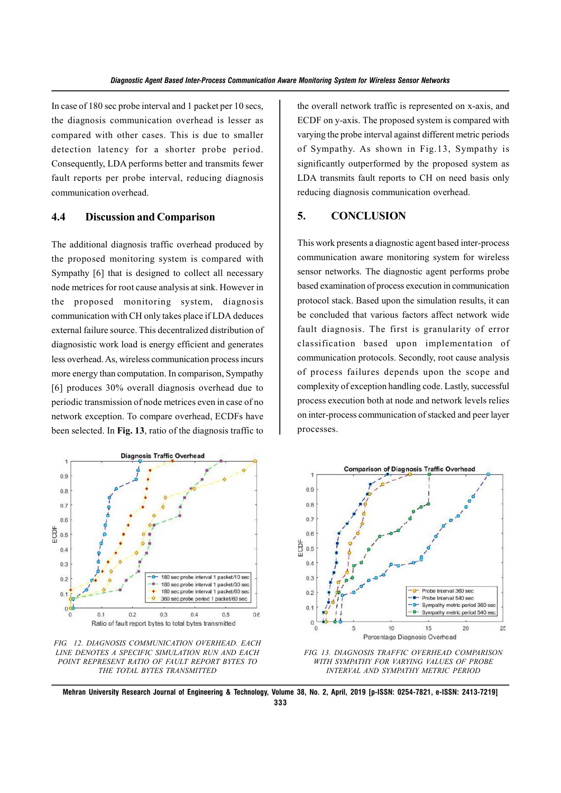In case of 180 sec probe interval and 1 packet per 10 secs, the diagnosis communication overhead is lesser as compared with other cases. This is due to smaller detection latency for a shorter probe period. Consequently, LDA performs better and transmits fewer fault reports per probe interval, reducing diagnosis communication overhead.

## **4.4 Discussion and Comparison**

The additional diagnosis traffic overhead produced by the proposed monitoring system is compared with Sympathy [6] that is designed to collect all necessary node metrices for root cause analysis at sink. However in the proposed monitoring system, diagnosis communication with CH only takes place if LDA deduces external failure source. This decentralized distribution of diagnosistic work load is energy efficient and generates less overhead. As, wireless communication process incurs more energy than computation. In comparison, Sympathy [6] produces 30% overall diagnosis overhead due to periodic transmission of node metrices even in case of no network exception. To compare overhead, ECDFs have been selected. In **Fig. 13**, ratio of the diagnosis traffic to

the overall network traffic is represented on x-axis, and ECDF on y-axis. The proposed system is compared with varying the probe interval against different metric periods of Sympathy. As shown in Fig.13, Sympathy is significantly outperformed by the proposed system as LDA transmits fault reports to CH on need basis only reducing diagnosis communication overhead.

# **5. CONCLUSION**

This work presents a diagnostic agent based inter-process communication aware monitoring system for wireless sensor networks. The diagnostic agent performs probe based examination of process execution in communication protocol stack. Based upon the simulation results, it can be concluded that various factors affect network wide fault diagnosis. The first is granularity of error classification based upon implementation of communication protocols. Secondly, root cause analysis of process failures depends upon the scope and complexity of exception handling code. Lastly, successful process execution both at node and network levels relies on inter-process communication of stacked and peer layer processes.



*FIG. 12. DIAGNOSIS COMMUNICATION OVERHEAD. EACH LINE DENOTES A SPECIFIC SIMULATION RUN AND EACH POINT REPRESENT RATIO OF FAULT REPORT BYTES TO THE TOTAL BYTES TRANSMITTED*



*FIG. 13. DIAGNOSIS TRAFFIC OVERHEAD COMPARISON WITH SYMPATHY FOR VARYING VALUES OF PROBE INTERVAL AND SYMPATHY METRIC PERIOD*

**Mehran University Research Journal of Engineering & Technology, Volume 38, No. 2, April, 2019 [p-ISSN: 0254-7821, e-ISSN: 2413-7219] 333**